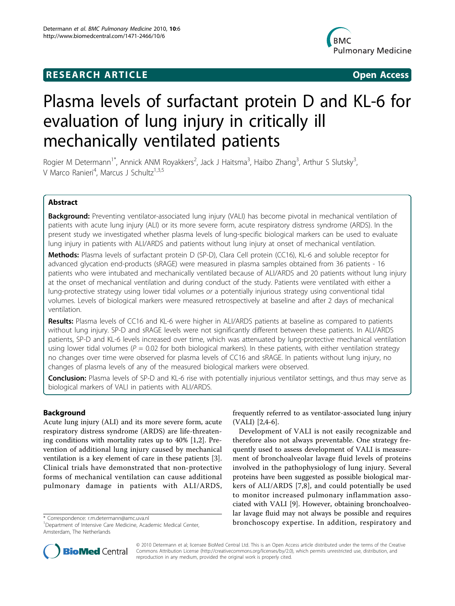## **RESEARCH ARTICLE Example 2018 CONSIDERING ACCESS**



# Plasma levels of surfactant protein D and KL-6 for evaluation of lung injury in critically ill mechanically ventilated patients

Rogier M Determann<sup>1\*</sup>, Annick ANM Royakkers<sup>2</sup>, Jack J Haitsma<sup>3</sup>, Haibo Zhang<sup>3</sup>, Arthur S Slutsky<sup>3</sup> , V Marco Ranieri<sup>4</sup>, Marcus J Schultz<sup>1,3,5</sup>

## Abstract

**Background:** Preventing ventilator-associated lung injury (VALI) has become pivotal in mechanical ventilation of patients with acute lung injury (ALI) or its more severe form, acute respiratory distress syndrome (ARDS). In the present study we investigated whether plasma levels of lung-specific biological markers can be used to evaluate lung injury in patients with ALI/ARDS and patients without lung injury at onset of mechanical ventilation.

Methods: Plasma levels of surfactant protein D (SP-D), Clara Cell protein (CC16), KL-6 and soluble receptor for advanced glycation end-products (sRAGE) were measured in plasma samples obtained from 36 patients - 16 patients who were intubated and mechanically ventilated because of ALI/ARDS and 20 patients without lung injury at the onset of mechanical ventilation and during conduct of the study. Patients were ventilated with either a lung-protective strategy using lower tidal volumes or a potentially injurious strategy using conventional tidal volumes. Levels of biological markers were measured retrospectively at baseline and after 2 days of mechanical ventilation.

Results: Plasma levels of CC16 and KL-6 were higher in ALI/ARDS patients at baseline as compared to patients without lung injury. SP-D and sRAGE levels were not significantly different between these patients. In ALI/ARDS patients, SP-D and KL-6 levels increased over time, which was attenuated by lung-protective mechanical ventilation using lower tidal volumes ( $P = 0.02$  for both biological markers). In these patients, with either ventilation strategy no changes over time were observed for plasma levels of CC16 and sRAGE. In patients without lung injury, no changes of plasma levels of any of the measured biological markers were observed.

Conclusion: Plasma levels of SP-D and KL-6 rise with potentially injurious ventilator settings, and thus may serve as biological markers of VALI in patients with ALI/ARDS.

## Background

Acute lung injury (ALI) and its more severe form, acute respiratory distress syndrome (ARDS) are life-threatening conditions with mortality rates up to 40% [[1,2\]](#page-7-0). Prevention of additional lung injury caused by mechanical ventilation is a key element of care in these patients [\[3](#page-7-0)]. Clinical trials have demonstrated that non-protective forms of mechanical ventilation can cause additional pulmonary damage in patients with ALI/ARDS,

frequently referred to as ventilator-associated lung injury (VALI) [[2,4-6](#page-7-0)].

Development of VALI is not easily recognizable and therefore also not always preventable. One strategy frequently used to assess development of VALI is measurement of bronchoalveolar lavage fluid levels of proteins involved in the pathophysiology of lung injury. Several proteins have been suggested as possible biological markers of ALI/ARDS [[7](#page-7-0),[8\]](#page-7-0), and could potentially be used to monitor increased pulmonary inflammation associated with VALI [\[9](#page-7-0)]. However, obtaining bronchoalveolar lavage fluid may not always be possible and requires bronchoscopy expertise. In addition, respiratory and \* Correspondence: [r.m.determann@amc.uva.nl](mailto:r.m.determann@amc.uva.nl)



© 2010 Determann et al; licensee BioMed Central Ltd. This is an Open Access article distributed under the terms of the Creative Commons Attribution License [\(http://creativecommons.org/licenses/by/2.0](http://creativecommons.org/licenses/by/2.0)), which permits unrestricted use, distribution, and reproduction in any medium, provided the original work is properly cited.

<sup>&</sup>lt;sup>1</sup>Department of Intensive Care Medicine, Academic Medical Center, Amsterdam, The Netherlands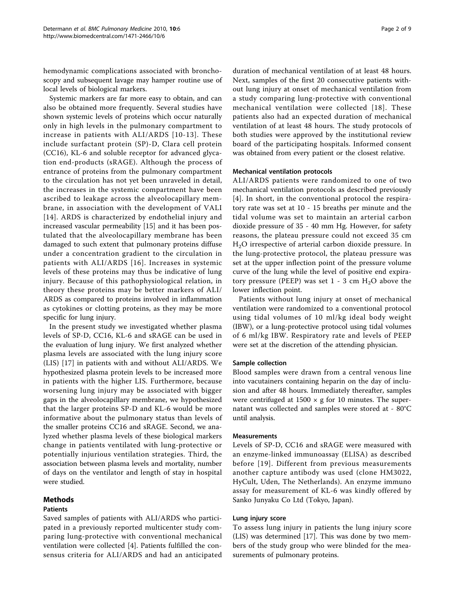hemodynamic complications associated with bronchoscopy and subsequent lavage may hamper routine use of local levels of biological markers.

Systemic markers are far more easy to obtain, and can also be obtained more frequently. Several studies have shown systemic levels of proteins which occur naturally only in high levels in the pulmonary compartment to increase in patients with ALI/ARDS [[10-13](#page-7-0)]. These include surfactant protein (SP)-D, Clara cell protein (CC16), KL-6 and soluble receptor for advanced glycation end-products (sRAGE). Although the process of entrance of proteins from the pulmonary compartment to the circulation has not yet been unraveled in detail, the increases in the systemic compartment have been ascribed to leakage across the alveolocapillary membrane, in association with the development of VALI [[14](#page-7-0)]. ARDS is characterized by endothelial injury and increased vascular permeability [[15](#page-7-0)] and it has been postulated that the alveolocapillary membrane has been damaged to such extent that pulmonary proteins diffuse under a concentration gradient to the circulation in patients with ALI/ARDS [[16](#page-7-0)]. Increases in systemic levels of these proteins may thus be indicative of lung injury. Because of this pathophysiological relation, in theory these proteins may be better markers of ALI/ ARDS as compared to proteins involved in inflammation as cytokines or clotting proteins, as they may be more specific for lung injury.

In the present study we investigated whether plasma levels of SP-D, CC16, KL-6 and sRAGE can be used in the evaluation of lung injury. We first analyzed whether plasma levels are associated with the lung injury score (LIS) [\[17](#page-7-0)] in patients with and without ALI/ARDS. We hypothesized plasma protein levels to be increased more in patients with the higher LIS. Furthermore, because worsening lung injury may be associated with bigger gaps in the alveolocapillary membrane, we hypothesized that the larger proteins SP-D and KL-6 would be more informative about the pulmonary status than levels of the smaller proteins CC16 and sRAGE. Second, we analyzed whether plasma levels of these biological markers change in patients ventilated with lung-protective or potentially injurious ventilation strategies. Third, the association between plasma levels and mortality, number of days on the ventilator and length of stay in hospital were studied.

## Methods

## Patients

Saved samples of patients with ALI/ARDS who participated in a previously reported multicenter study comparing lung-protective with conventional mechanical ventilation were collected [\[4](#page-7-0)]. Patients fulfilled the consensus criteria for ALI/ARDS and had an anticipated

duration of mechanical ventilation of at least 48 hours. Next, samples of the first 20 consecutive patients without lung injury at onset of mechanical ventilation from a study comparing lung-protective with conventional mechanical ventilation were collected [[18\]](#page-7-0). These patients also had an expected duration of mechanical ventilation of at least 48 hours. The study protocols of both studies were approved by the institutional review board of the participating hospitals. Informed consent was obtained from every patient or the closest relative.

## Mechanical ventilation protocols

ALI/ARDS patients were randomized to one of two mechanical ventilation protocols as described previously [[4](#page-7-0)]. In short, in the conventional protocol the respiratory rate was set at 10 - 15 breaths per minute and the tidal volume was set to maintain an arterial carbon dioxide pressure of 35 - 40 mm Hg. However, for safety reasons, the plateau pressure could not exceed 35 cm H2O irrespective of arterial carbon dioxide pressure. In the lung-protective protocol, the plateau pressure was set at the upper inflection point of the pressure volume curve of the lung while the level of positive end expiratory pressure (PEEP) was set  $1 - 3$  cm  $H<sub>2</sub>O$  above the lower inflection point.

Patients without lung injury at onset of mechanical ventilation were randomized to a conventional protocol using tidal volumes of 10 ml/kg ideal body weight (IBW), or a lung-protective protocol using tidal volumes of 6 ml/kg IBW. Respiratory rate and levels of PEEP were set at the discretion of the attending physician.

## Sample collection

Blood samples were drawn from a central venous line into vacutainers containing heparin on the day of inclusion and after 48 hours. Immediately thereafter, samples were centrifuged at  $1500 \times g$  for 10 minutes. The supernatant was collected and samples were stored at - 80°C until analysis.

#### **Measurements**

Levels of SP-D, CC16 and sRAGE were measured with an enzyme-linked immunoassay (ELISA) as described before [[19](#page-7-0)]. Different from previous measurements another capture antibody was used (clone HM3022, HyCult, Uden, The Netherlands). An enzyme immuno assay for measurement of KL-6 was kindly offered by Sanko Junyaku Co Ltd (Tokyo, Japan).

#### Lung injury score

To assess lung injury in patients the lung injury score (LIS) was determined [\[17](#page-7-0)]. This was done by two members of the study group who were blinded for the measurements of pulmonary proteins.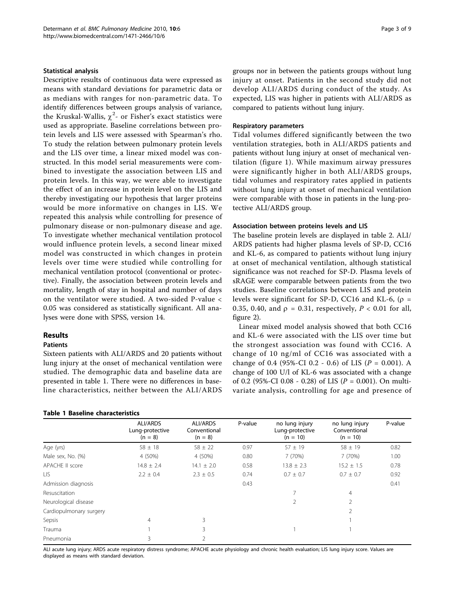#### Statistical analysis

Descriptive results of continuous data were expressed as means with standard deviations for parametric data or as medians with ranges for non-parametric data. To identify differences between groups analysis of variance, the Kruskal-Wallis,  $\chi^2$ - or Fisher's exact statistics were used as appropriate. Baseline correlations between protein levels and LIS were assessed with Spearman's rho. To study the relation between pulmonary protein levels and the LIS over time, a linear mixed model was constructed. In this model serial measurements were combined to investigate the association between LIS and protein levels. In this way, we were able to investigate the effect of an increase in protein level on the LIS and thereby investigating our hypothesis that larger proteins would be more informative on changes in LIS. We repeated this analysis while controlling for presence of pulmonary disease or non-pulmonary disease and age. To investigate whether mechanical ventilation protocol would influence protein levels, a second linear mixed model was constructed in which changes in protein levels over time were studied while controlling for mechanical ventilation protocol (conventional or protective). Finally, the association between protein levels and mortality, length of stay in hospital and number of days on the ventilator were studied. A two-sided P-value < 0.05 was considered as statistically significant. All analyses were done with SPSS, version 14.

## Results

## Patients

Sixteen patients with ALI/ARDS and 20 patients without lung injury at the onset of mechanical ventilation were studied. The demographic data and baseline data are presented in table 1. There were no differences in baseline characteristics, neither between the ALI/ARDS

#### Table 1 Baseline characteristics

groups nor in between the patients groups without lung injury at onset. Patients in the second study did not develop ALI/ARDS during conduct of the study. As expected, LIS was higher in patients with ALI/ARDS as compared to patients without lung injury.

#### Respiratory parameters

Tidal volumes differed significantly between the two ventilation strategies, both in ALI/ARDS patients and patients without lung injury at onset of mechanical ventilation (figure [1](#page-3-0)). While maximum airway pressures were significantly higher in both ALI/ARDS groups, tidal volumes and respiratory rates applied in patients without lung injury at onset of mechanical ventilation were comparable with those in patients in the lung-protective ALI/ARDS group.

#### Association between proteins levels and LIS

The baseline protein levels are displayed in table [2.](#page-3-0) ALI/ ARDS patients had higher plasma levels of SP-D, CC16 and KL-6, as compared to patients without lung injury at onset of mechanical ventilation, although statistical significance was not reached for SP-D. Plasma levels of sRAGE were comparable between patients from the two studies. Baseline correlations between LIS and protein levels were significant for SP-D, CC16 and KL-6,  $(\rho =$ 0.35, 0.40, and  $\rho = 0.31$ , respectively,  $P < 0.01$  for all, figure [2](#page-4-0)).

Linear mixed model analysis showed that both CC16 and KL-6 were associated with the LIS over time but the strongest association was found with CC16. A change of 10 ng/ml of CC16 was associated with a change of 0.4 (95%-CI 0.2 - 0.6) of LIS ( $P = 0.001$ ). A change of 100 U/l of KL-6 was associated with a change of 0.2 (95%-CI 0.08 - 0.28) of LIS (P = 0.001). On multivariate analysis, controlling for age and presence of

|                         | ALI/ARDS<br>Lung-protective<br>$(n = 8)$ | <b>ALI/ARDS</b><br>Conventional<br>$(n = 8)$ | P-value | no lung injury<br>Lung-protective<br>$(n = 10)$ | no lung injury<br>Conventional<br>$(n = 10)$ | P-value |
|-------------------------|------------------------------------------|----------------------------------------------|---------|-------------------------------------------------|----------------------------------------------|---------|
| Age (yrs)               | $58 \pm 18$                              | $58 \pm 22$                                  | 0.97    | $57 + 19$                                       | $58 \pm 19$                                  | 0.82    |
| Male sex, No. (%)       | 4 (50%)                                  | 4 (50%)                                      | 0.80    | 7 (70%)                                         | 7 (70%)                                      | 1.00    |
| APACHE II score         | $14.8 \pm 2.4$                           | $14.1 \pm 2.0$                               | 0.58    | $13.8 \pm 2.3$                                  | $15.2 \pm 1.5$                               | 0.78    |
| LIS.                    | $2.2 \pm 0.4$                            | $2.3 \pm 0.5$                                | 0.74    | $0.7 \pm 0.7$                                   | $0.7 \pm 0.7$                                | 0.92    |
| Admission diagnosis     |                                          |                                              | 0.43    |                                                 |                                              | 0.41    |
| Resuscitation           |                                          |                                              |         |                                                 | $\overline{4}$                               |         |
| Neurological disease    |                                          |                                              |         |                                                 | $\overline{2}$                               |         |
| Cardiopulmonary surgery |                                          |                                              |         |                                                 | $\overline{2}$                               |         |
| Sepsis                  | 4                                        | 3                                            |         |                                                 |                                              |         |
| Trauma                  |                                          | 3                                            |         |                                                 |                                              |         |
| Pneumonia               | 3                                        |                                              |         |                                                 |                                              |         |

ALI acute lung injury; ARDS acute respiratory distress syndrome; APACHE acute physiology and chronic health evaluation; LIS lung injury score. Values are displayed as means with standard deviation.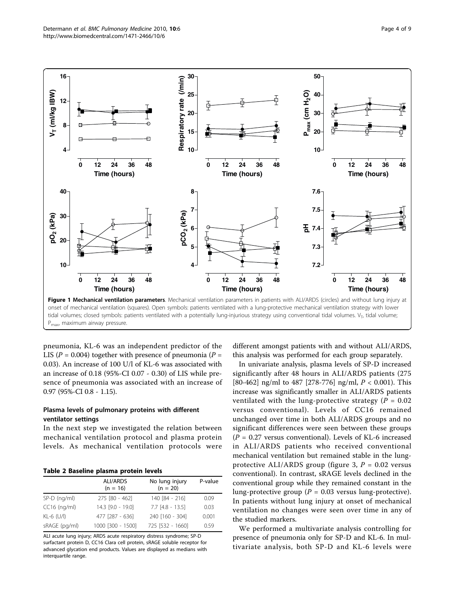<span id="page-3-0"></span>

pneumonia, KL-6 was an independent predictor of the LIS ( $P = 0.004$ ) together with presence of pneumonia ( $P =$ 0.03). An increase of 100 U/l of KL-6 was associated with an increase of 0.18 (95%-CI 0.07 - 0.30) of LIS while presence of pneumonia was associated with an increase of 0.97 (95%-CI 0.8 - 1.15).

## Plasma levels of pulmonary proteins with different ventilator settings

In the next step we investigated the relation between mechanical ventilation protocol and plasma protein levels. As mechanical ventilation protocols were

|  |  | Table 2 Baseline plasma protein levels |  |  |  |
|--|--|----------------------------------------|--|--|--|
|--|--|----------------------------------------|--|--|--|

|                | <b>ALI/ARDS</b><br>$(n = 16)$ | No lung injury<br>$(n = 20)$ | P-value |
|----------------|-------------------------------|------------------------------|---------|
| $SP-D$ (ng/ml) | 275 [80 - 462]                | 140 [84 - 216]               | 0.09    |
| $CC16$ (ng/ml) | 14.3 [9.0 - 19.0]             | $7.7$ $[4.8 - 13.5]$         | 0.03    |
| KL-6 $(U/I)$   | 477 [287 - 636]               | 240 [160 - 304]              | 0.001   |
| sRAGE (pg/ml)  | 1000 [300 - 1500]             | 725 [532 - 1660]             | 0.59    |

ALI acute lung injury; ARDS acute respiratory distress syndrome; SP-D surfactant protein D, CC16 Clara cell protein, sRAGE soluble receptor for advanced glycation end products. Values are displayed as medians with interquartile range.

different amongst patients with and without ALI/ARDS, this analysis was performed for each group separately.

In univariate analysis, plasma levels of SP-D increased significantly after 48 hours in ALI/ARDS patients (275 [80-462] ng/ml to 487 [278-776] ng/ml,  $P < 0.001$ ). This increase was significantly smaller in ALI/ARDS patients ventilated with the lung-protective strategy ( $P = 0.02$ ) versus conventional). Levels of CC16 remained unchanged over time in both ALI/ARDS groups and no significant differences were seen between these groups  $(P = 0.27$  versus conventional). Levels of KL-6 increased in ALI/ARDS patients who received conventional mechanical ventilation but remained stable in the lung-protective ALI/ARDS group (figure [3](#page-5-0),  $P = 0.02$  versus conventional). In contrast, sRAGE levels declined in the conventional group while they remained constant in the lung-protective group ( $P = 0.03$  versus lung-protective). In patients without lung injury at onset of mechanical ventilation no changes were seen over time in any of the studied markers.

We performed a multivariate analysis controlling for presence of pneumonia only for SP-D and KL-6. In multivariate analysis, both SP-D and KL-6 levels were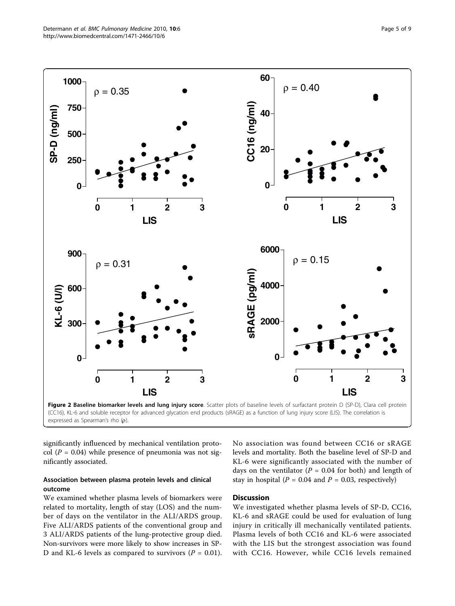<span id="page-4-0"></span>

significantly influenced by mechanical ventilation protocol ( $P = 0.04$ ) while presence of pneumonia was not significantly associated.

## Association between plasma protein levels and clinical outcome

We examined whether plasma levels of biomarkers were related to mortality, length of stay (LOS) and the number of days on the ventilator in the ALI/ARDS group. Five ALI/ARDS patients of the conventional group and 3 ALI/ARDS patients of the lung-protective group died. Non-survivors were more likely to show increases in SP-D and KL-6 levels as compared to survivors ( $P = 0.01$ ). No association was found between CC16 or sRAGE levels and mortality. Both the baseline level of SP-D and KL-6 were significantly associated with the number of days on the ventilator ( $P = 0.04$  for both) and length of stay in hospital ( $P = 0.04$  and  $P = 0.03$ , respectively)

## Discussion

We investigated whether plasma levels of SP-D, CC16, KL-6 and sRAGE could be used for evaluation of lung injury in critically ill mechanically ventilated patients. Plasma levels of both CC16 and KL-6 were associated with the LIS but the strongest association was found with CC16. However, while CC16 levels remained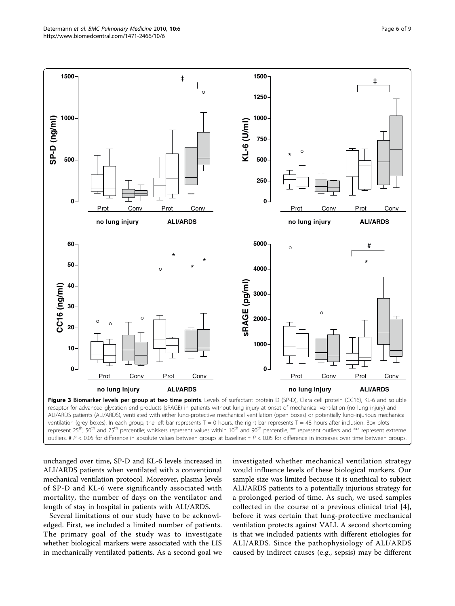<span id="page-5-0"></span>

outliers. #  $P < 0.05$  for difference in absolute values between groups at baseline;  $\frac{1}{2}P < 0.05$  for difference in increases over time between groups.

unchanged over time, SP-D and KL-6 levels increased in ALI/ARDS patients when ventilated with a conventional mechanical ventilation protocol. Moreover, plasma levels of SP-D and KL-6 were significantly associated with mortality, the number of days on the ventilator and length of stay in hospital in patients with ALI/ARDS.

Several limitations of our study have to be acknowledged. First, we included a limited number of patients. The primary goal of the study was to investigate whether biological markers were associated with the LIS in mechanically ventilated patients. As a second goal we investigated whether mechanical ventilation strategy would influence levels of these biological markers. Our sample size was limited because it is unethical to subject ALI/ARDS patients to a potentially injurious strategy for a prolonged period of time. As such, we used samples collected in the course of a previous clinical trial [[4](#page-7-0)], before it was certain that lung-protective mechanical ventilation protects against VALI. A second shortcoming is that we included patients with different etiologies for ALI/ARDS. Since the pathophysiology of ALI/ARDS caused by indirect causes (e.g., sepsis) may be different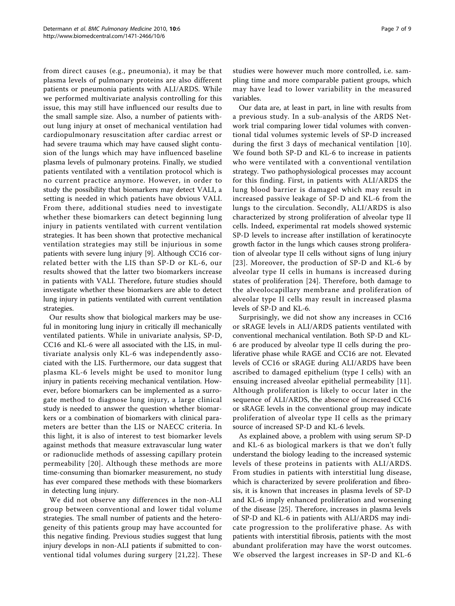from direct causes (e.g., pneumonia), it may be that plasma levels of pulmonary proteins are also different patients or pneumonia patients with ALI/ARDS. While we performed multivariate analysis controlling for this issue, this may still have influenced our results due to the small sample size. Also, a number of patients without lung injury at onset of mechanical ventilation had cardiopulmonary resuscitation after cardiac arrest or had severe trauma which may have caused slight contusion of the lungs which may have influenced baseline plasma levels of pulmonary proteins. Finally, we studied patients ventilated with a ventilation protocol which is no current practice anymore. However, in order to study the possibility that biomarkers may detect VALI, a setting is needed in which patients have obvious VALI. From there, additional studies need to investigate whether these biomarkers can detect beginning lung injury in patients ventilated with current ventilation strategies. It has been shown that protective mechanical ventilation strategies may still be injurious in some patients with severe lung injury [[9\]](#page-7-0). Although CC16 correlated better with the LIS than SP-D or KL-6, our results showed that the latter two biomarkers increase in patients with VALI. Therefore, future studies should investigate whether these biomarkers are able to detect lung injury in patients ventilated with current ventilation strategies.

Our results show that biological markers may be useful in monitoring lung injury in critically ill mechanically ventilated patients. While in univariate analysis, SP-D, CC16 and KL-6 were all associated with the LIS, in multivariate analysis only KL-6 was independently associated with the LIS. Furthermore, our data suggest that plasma KL-6 levels might be used to monitor lung injury in patients receiving mechanical ventilation. However, before biomarkers can be implemented as a surrogate method to diagnose lung injury, a large clinical study is needed to answer the question whether biomarkers or a combination of biomarkers with clinical parameters are better than the LIS or NAECC criteria. In this light, it is also of interest to test biomarker levels against methods that measure extravascular lung water or radionuclide methods of assessing capillary protein permeability [[20](#page-7-0)]. Although these methods are more time-consuming than biomarker measurement, no study has ever compared these methods with these biomarkers in detecting lung injury.

We did not observe any differences in the non-ALI group between conventional and lower tidal volume strategies. The small number of patients and the heterogeneity of this patients group may have accounted for this negative finding. Previous studies suggest that lung injury develops in non-ALI patients if submitted to conventional tidal volumes during surgery [[21,22\]](#page-7-0). These studies were however much more controlled, i.e. sampling time and more comparable patient groups, which may have lead to lower variability in the measured variables.

Our data are, at least in part, in line with results from a previous study. In a sub-analysis of the ARDS Network trial comparing lower tidal volumes with conventional tidal volumes systemic levels of SP-D increased during the first 3 days of mechanical ventilation [[10](#page-7-0)]. We found both SP-D and KL-6 to increase in patients who were ventilated with a conventional ventilation strategy. Two pathophysiological processes may account for this finding. First, in patients with ALI/ARDS the lung blood barrier is damaged which may result in increased passive leakage of SP-D and KL-6 from the lungs to the circulation. Secondly, ALI/ARDS is also characterized by strong proliferation of alveolar type II cells. Indeed, experimental rat models showed systemic SP-D levels to increase after instillation of keratinocyte growth factor in the lungs which causes strong proliferation of alveolar type II cells without signs of lung injury [[23\]](#page-8-0). Moreover, the production of SP-D and KL-6 by alveolar type II cells in humans is increased during states of proliferation [[24](#page-8-0)]. Therefore, both damage to the alveolocapillary membrane and proliferation of alveolar type II cells may result in increased plasma levels of SP-D and KL-6.

Surprisingly, we did not show any increases in CC16 or sRAGE levels in ALI/ARDS patients ventilated with conventional mechanical ventilation. Both SP-D and KL-6 are produced by alveolar type II cells during the proliferative phase while RAGE and CC16 are not. Elevated levels of CC16 or sRAGE during ALI/ARDS have been ascribed to damaged epithelium (type I cells) with an ensuing increased alveolar epithelial permeability [[11](#page-7-0)]. Although proliferation is likely to occur later in the sequence of ALI/ARDS, the absence of increased CC16 or sRAGE levels in the conventional group may indicate proliferation of alveolar type II cells as the primary source of increased SP-D and KL-6 levels.

As explained above, a problem with using serum SP-D and KL-6 as biological markers is that we don't fully understand the biology leading to the increased systemic levels of these proteins in patients with ALI/ARDS. From studies in patients with interstitial lung disease, which is characterized by severe proliferation and fibrosis, it is known that increases in plasma levels of SP-D and KL-6 imply enhanced proliferation and worsening of the disease [[25\]](#page-8-0). Therefore, increases in plasma levels of SP-D and KL-6 in patients with ALI/ARDS may indicate progression to the proliferative phase. As with patients with interstitial fibrosis, patients with the most abundant proliferation may have the worst outcomes. We observed the largest increases in SP-D and KL-6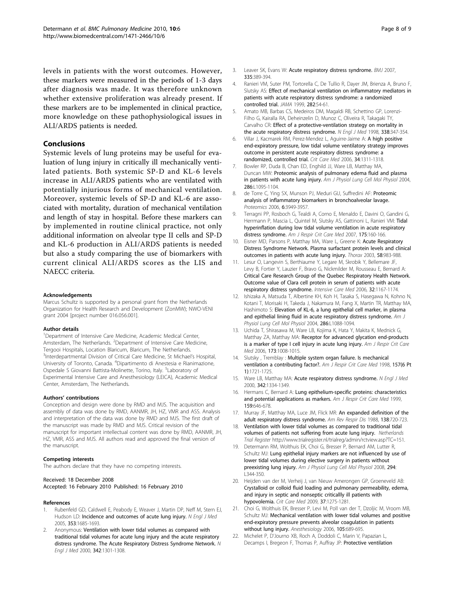<span id="page-7-0"></span>levels in patients with the worst outcomes. However, these markers were measured in the periods of 1-3 days after diagnosis was made. It was therefore unknown whether extensive proliferation was already present. If these markers are to be implemented in clinical practice, more knowledge on these pathophysiological issues in ALI/ARDS patients is needed.

## Conclusions

Systemic levels of lung proteins may be useful for evaluation of lung injury in critically ill mechanically ventilated patients. Both systemic SP-D and KL-6 levels increase in ALI/ARDS patients who are ventilated with potentially injurious forms of mechanical ventilation. Moreover, systemic levels of SP-D and KL-6 are associated with mortality, duration of mechanical ventilation and length of stay in hospital. Before these markers can by implemented in routine clinical practice, not only additional information on alveolar type II cells and SP-D and KL-6 production in ALI/ARDS patients is needed but also a study comparing the use of biomarkers with current clinical ALI/ARDS scores as the LIS and NAECC criteria.

#### Acknowledgements

Marcus Schultz is supported by a personal grant from the Netherlands Organization for Health Research and Development (ZonMW); NWO-VENI grant 2004 [project number 016.056.001].

#### Author details

<sup>1</sup>Department of Intensive Care Medicine, Academic Medical Center, Amsterdam, The Netherlands. <sup>2</sup>Department of Intensive Care Medicine, Tergooi Hospitals, Location Blaricum, Blaricum, The Netherlands. 3 Interdepartmental Division of Critical Care Medicine, St Michael's Hospital, University of Toronto, Canada. <sup>4</sup> Dipartimento di Anestesia e Rianimazione, Ospedale S Giovanni Battista-Molinette, Torino, Italy. <sup>5</sup>Laboratory of Experimental Intensive Care and Anesthesiology (LEICA), Academic Medical Center, Amsterdam, The Netherlands.

#### Authors' contributions

Conception and design were done by RMD and MJS. The acquisition and assembly of data was done by RMD, AANMR, JH, HZ, VMR and ASS. Analysis and interpretation of the data was done by RMD and MJS. The first draft of the manuscript was made by RMD and MJS. Critical revision of the manuscript for important intellectual content was done by RMD, AANMR, JH, HZ, VMR, ASS and MJS. All authors read and approved the final version of the manuscript.

#### Competing interests

The authors declare that they have no competing interests.

#### Received: 18 December 2008

Accepted: 16 February 2010 Published: 16 February 2010

#### References

- 1. Rubenfeld GD, Caldwell E, Peabody E, Weaver J, Martin DP, Neff M, Stern EJ, Hudson LD: [Incidence and outcomes of acute lung injury.](http://www.ncbi.nlm.nih.gov/pubmed/16236739?dopt=Abstract) N Engl J Med 2005, 353:1685-1693.
- 2. Anonymous: [Ventilation with lower tidal volumes as compared with](http://www.ncbi.nlm.nih.gov/pubmed/10793162?dopt=Abstract) [traditional tidal volumes for acute lung injury and the acute respiratory](http://www.ncbi.nlm.nih.gov/pubmed/10793162?dopt=Abstract) [distress syndrome. The Acute Respiratory Distress Syndrome Network.](http://www.ncbi.nlm.nih.gov/pubmed/10793162?dopt=Abstract) N Engl J Med 2000, 342:1301-1308.
- 3. Leaver SK, Evans W: [Acute respiratory distress syndrome.](http://www.ncbi.nlm.nih.gov/pubmed/17717368?dopt=Abstract) BMJ 2007. 335:389-394.
- 4. Ranieri VM, Suter PM, Tortorella C, De Tullio R, Dayer JM, Brienza A, Bruno F, Slutsky AS: [Effect of mechanical ventilation on inflammatory mediators in](http://www.ncbi.nlm.nih.gov/pubmed/10404912?dopt=Abstract) [patients with acute respiratory distress syndrome: a randomized](http://www.ncbi.nlm.nih.gov/pubmed/10404912?dopt=Abstract) [controlled trial.](http://www.ncbi.nlm.nih.gov/pubmed/10404912?dopt=Abstract) JAMA 1999, 282:54-61.
- 5. Amato MB, Barbas CS, Medeiros DM, Magaldi RB, Schettino GP, Lorenzi-Filho G, Kairalla RA, Deheinzelin D, Munoz C, Oliveira R, Takagaki TY, Carvalho CR: [Effect of a protective-ventilation strategy on mortality in](http://www.ncbi.nlm.nih.gov/pubmed/9449727?dopt=Abstract) [the acute respiratory distress syndrome.](http://www.ncbi.nlm.nih.gov/pubmed/9449727?dopt=Abstract) N Engl J Med 1998, 338:347-354.
- 6. Villar J, Kacmarek RM, Perez-Mendez L, Aguirre-Jaime A: [A high positive](http://www.ncbi.nlm.nih.gov/pubmed/16557151?dopt=Abstract) [end-expiratory pressure, low tidal volume ventilatory strategy improves](http://www.ncbi.nlm.nih.gov/pubmed/16557151?dopt=Abstract) [outcome in persistent acute respiratory distress syndrome: a](http://www.ncbi.nlm.nih.gov/pubmed/16557151?dopt=Abstract) [randomized, controlled trial.](http://www.ncbi.nlm.nih.gov/pubmed/16557151?dopt=Abstract) Crit Care Med 2006, 34:1311-1318.
- 7. Bowler RP, Duda B, Chan ED, Enghild JJ, Ware LB, Matthay MA, Duncan MW: [Proteomic analysis of pulmonary edema fluid and plasma](http://www.ncbi.nlm.nih.gov/pubmed/14742308?dopt=Abstract) [in patients with acute lung injury.](http://www.ncbi.nlm.nih.gov/pubmed/14742308?dopt=Abstract) Am J Physiol Lung Cell Mol Physiol 2004, 286:L1095-1104.
- 8. de Torre C, Ying SX, Munson PJ, Meduri GU, Suffredini AF: [Proteomic](http://www.ncbi.nlm.nih.gov/pubmed/16767788?dopt=Abstract) [analysis of inflammatory biomarkers in bronchoalveolar lavage.](http://www.ncbi.nlm.nih.gov/pubmed/16767788?dopt=Abstract) Proteomics 2006, 6:3949-3957.
- 9. Terragni PP, Rosboch G, Tealdi A, Corno E, Menaldo E, Davini O, Gandini G, Herrmann P, Mascia L, Quintel M, Slutsky AS, Gattinoni L, Ranieri VM: [Tidal](http://www.ncbi.nlm.nih.gov/pubmed/17038660?dopt=Abstract) [hyperinflation during low tidal volume ventilation in acute respiratory](http://www.ncbi.nlm.nih.gov/pubmed/17038660?dopt=Abstract) [distress syndrome.](http://www.ncbi.nlm.nih.gov/pubmed/17038660?dopt=Abstract) Am J Respir Crit Care Med 2007, 175:160-166.
- 10. Eisner MD, Parsons P, Matthay MA, Ware L, Greene K: [Acute Respiratory](http://www.ncbi.nlm.nih.gov/pubmed/14586055?dopt=Abstract) [Distress Syndrome Network. Plasma surfactant protein levels and clinical](http://www.ncbi.nlm.nih.gov/pubmed/14586055?dopt=Abstract) [outcomes in patients with acute lung injury.](http://www.ncbi.nlm.nih.gov/pubmed/14586055?dopt=Abstract) Thorax 2003, 58:983-988.
- 11. Lesur O, Langevin S, Berthiaume Y, Legare M, Skrobik Y, Bellemare JF, Levy B, Fortier Y, Lauzier F, Bravo G, Nickmilder M, Rousseau E, Bernard A: [Critical Care Research Group of the Quebec Respiratory Health Network.](http://www.ncbi.nlm.nih.gov/pubmed/16794838?dopt=Abstract) [Outcome value of Clara cell protein in serum of patients with acute](http://www.ncbi.nlm.nih.gov/pubmed/16794838?dopt=Abstract) [respiratory distress syndrome.](http://www.ncbi.nlm.nih.gov/pubmed/16794838?dopt=Abstract) Intensive Care Med 2006, 32:1167-1174.
- 12. Ishizaka A, Matsuda T, Albertine KH, Koh H, Tasaka S, Hasegawa N, Kohno N, Kotani T, Morisaki H, Takeda J, Nakamura M, Fang X, Martin TR, Matthay MA, Hashimoto S: [Elevation of KL-6, a lung epithelial cell marker, in plasma](http://www.ncbi.nlm.nih.gov/pubmed/12959931?dopt=Abstract) [and epithelial lining fluid in acute respiratory distress syndrome.](http://www.ncbi.nlm.nih.gov/pubmed/12959931?dopt=Abstract) Am J Physiol Lung Cell Mol Physiol 2004, 286:L1088-1094.
- 13. Uchida T, Shirasawa M, Ware LB, Kojima K, Hata Y, Makita K, Mednick G, Matthay ZA, Matthay MA: [Receptor for advanced glycation end-products](http://www.ncbi.nlm.nih.gov/pubmed/16456142?dopt=Abstract) [is a marker of type I cell injury in acute lung injury.](http://www.ncbi.nlm.nih.gov/pubmed/16456142?dopt=Abstract) Am J Respir Crit Care Med 2006, 173:1008-1015.
- 14. Slutsky, Tremblay: [Multiple system organ failure. Is mechanical](http://www.ncbi.nlm.nih.gov/pubmed/9620897?dopt=Abstract) [ventilation a contributing factor?.](http://www.ncbi.nlm.nih.gov/pubmed/9620897?dopt=Abstract) Am J Respir Crit Care Med 1998, 157(6 Pt 1):1721-1725.
- 15. Ware LB, Matthay MA: [Acute respiratory distress syndrome.](http://www.ncbi.nlm.nih.gov/pubmed/10793167?dopt=Abstract) N Engl J Med 2000, 342:1334-1349.
- 16. Hermans C, Bernard A: [Lung epithelium-specific proteins: characteristics](http://www.ncbi.nlm.nih.gov/pubmed/9927386?dopt=Abstract) [and potential applications as markers.](http://www.ncbi.nlm.nih.gov/pubmed/9927386?dopt=Abstract) Am J Respir Crit Care Med 1999, 159:646-678.
- 17. Murray JF, Matthay MA, Luce JM, Flick MR: [An expanded definition of the](http://www.ncbi.nlm.nih.gov/pubmed/3202424?dopt=Abstract) [adult respiratory distress syndrome.](http://www.ncbi.nlm.nih.gov/pubmed/3202424?dopt=Abstract) Am Rev Respir Dis 1988, 138:720-723.
- 18. Ventilation with lower tidal volumes as compared to traditional tidal volumes of patients not suffering from acute lung injury. Netherlands Trial Register <http://www.trialregister.nl/trialreg/admin/rctview.asp?TC=151>.
- 19. Determann RM, Wolthuis EK, Choi G, Bresser P, Bernard AM, Lutter R, Schultz MJ: [Lung epithelial injury markers are not influenced by use of](http://www.ncbi.nlm.nih.gov/pubmed/18083770?dopt=Abstract) [lower tidal volumes during elective surgery in patients without](http://www.ncbi.nlm.nih.gov/pubmed/18083770?dopt=Abstract) [preexisting lung injury.](http://www.ncbi.nlm.nih.gov/pubmed/18083770?dopt=Abstract) Am J Physiol Lung Cell Mol Physiol 2008, 294: L344-350.
- 20. Heijden van der M, Verheij J, van Nieuw Amerongen GP, Groeneveld AB: [Crystalloid or colloid fluid loading and pulmonary permeability, edema,](http://www.ncbi.nlm.nih.gov/pubmed/19242338?dopt=Abstract) [and injury in septic and nonseptic criticallly ill patients with](http://www.ncbi.nlm.nih.gov/pubmed/19242338?dopt=Abstract) [hypovolemia.](http://www.ncbi.nlm.nih.gov/pubmed/19242338?dopt=Abstract) Crit Care Med 2009, 37:1275-1281.
- 21. Choi G, Wolthuis EK, Bresser P, Levi M, Poll van der T, Dzoljic M, Vroom MB, Schultz MJ: [Mechanical ventilation with lower tidal volumes and positive](http://www.ncbi.nlm.nih.gov/pubmed/17006066?dopt=Abstract) [end-expiratory pressure prevents alveolar coagulation in patients](http://www.ncbi.nlm.nih.gov/pubmed/17006066?dopt=Abstract) [without lung injury.](http://www.ncbi.nlm.nih.gov/pubmed/17006066?dopt=Abstract) Anesthesiology 2006, 105:689-695.
- 22. Michelet P, D'Journo XB, Roch A, Doddoli C, Marin V, Papazian L, Decamps I, Bregeon F, Thomas P, Auffray JP: [Protective ventilation](http://www.ncbi.nlm.nih.gov/pubmed/17065884?dopt=Abstract)